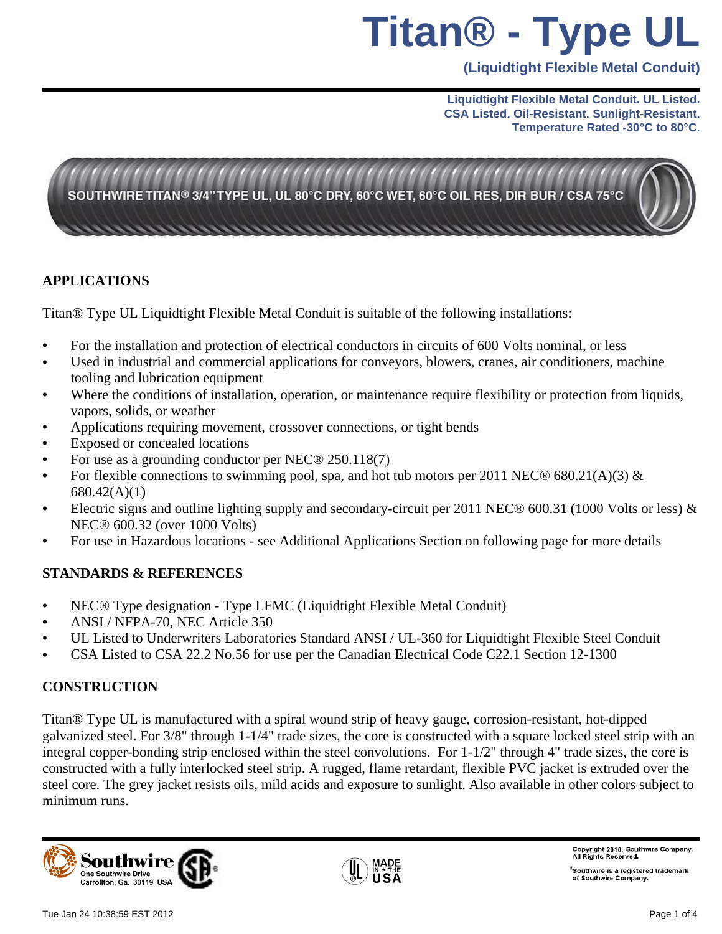# **Titan® - Type UL**

**(Liquidtight Flexible Metal Conduit)**

#### **Liquidtight Flexible Metal Conduit. UL Listed. CSA Listed. Oil-Resistant. Sunlight-Resistant. Temperature Rated -30°C to 80°C.**



### **APPLICATIONS**

Titan® Type UL Liquidtight Flexible Metal Conduit is suitable of the following installations:

- For the installation and protection of electrical conductors in circuits of 600 Volts nominal, or less
- Used in industrial and commercial applications for conveyors, blowers, cranes, air conditioners, machine tooling and lubrication equipment
- Where the conditions of installation, operation, or maintenance require flexibility or protection from liquids, vapors, solids, or weather
- Applications requiring movement, crossover connections, or tight bends
- Exposed or concealed locations
- For use as a grounding conductor per NEC® 250.118(7)
- For flexible connections to swimming pool, spa, and hot tub motors per 2011 NEC® 680.21(A)(3) & 680.42(A)(1)
- Electric signs and outline lighting supply and secondary-circuit per 2011 NEC® 600.31 (1000 Volts or less) & NEC® 600.32 (over 1000 Volts)
- For use in Hazardous locations see Additional Applications Section on following page for more details

### **STANDARDS & REFERENCES**

- NEC® Type designation Type LFMC (Liquidtight Flexible Metal Conduit)
- ANSI / NFPA-70, NEC Article 350
- UL Listed to Underwriters Laboratories Standard ANSI / UL-360 for Liquidtight Flexible Steel Conduit
- CSA Listed to CSA 22.2 No.56 for use per the Canadian Electrical Code C22.1 Section 12-1300

### **CONSTRUCTION**

Titan® Type UL is manufactured with a spiral wound strip of heavy gauge, corrosion-resistant, hot-dipped galvanized steel. For 3/8" through 1-1/4" trade sizes, the core is constructed with a square locked steel strip with an integral copper-bonding strip enclosed within the steel convolutions. For 1-1/2" through 4" trade sizes, the core is constructed with a fully interlocked steel strip. A rugged, flame retardant, flexible PVC jacket is extruded over the steel core. The grey jacket resists oils, mild acids and exposure to sunlight. Also available in other colors subject to minimum runs.





Copyright 2010, Southwire Company.<br>All Rights Reserved.

 $^\circ$ Southwire is a registered trademark of Southwire Company.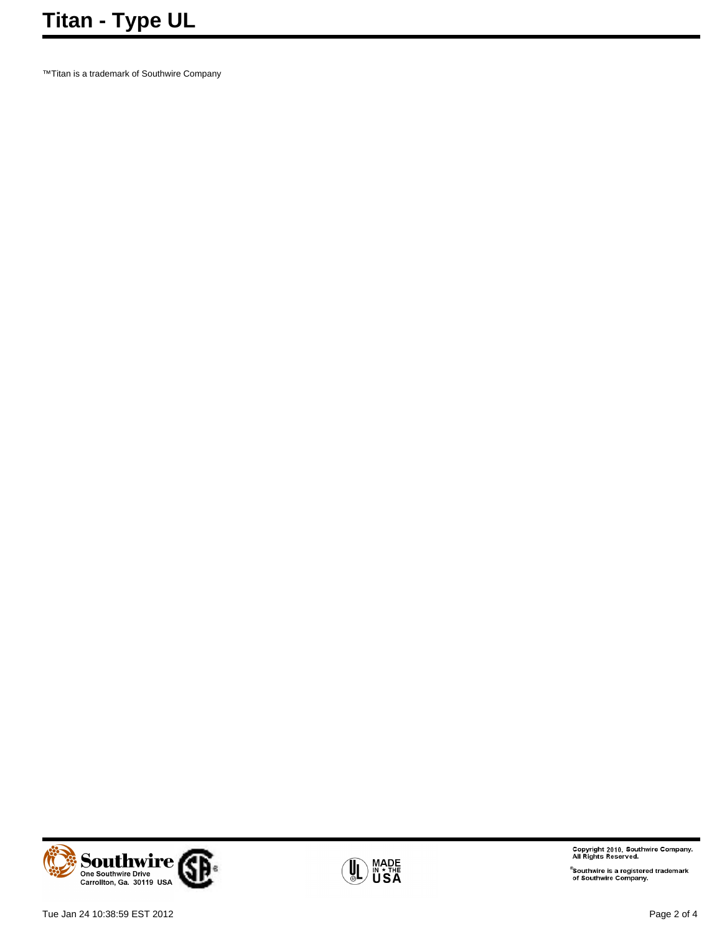™Titan is a trademark of Southwire Company



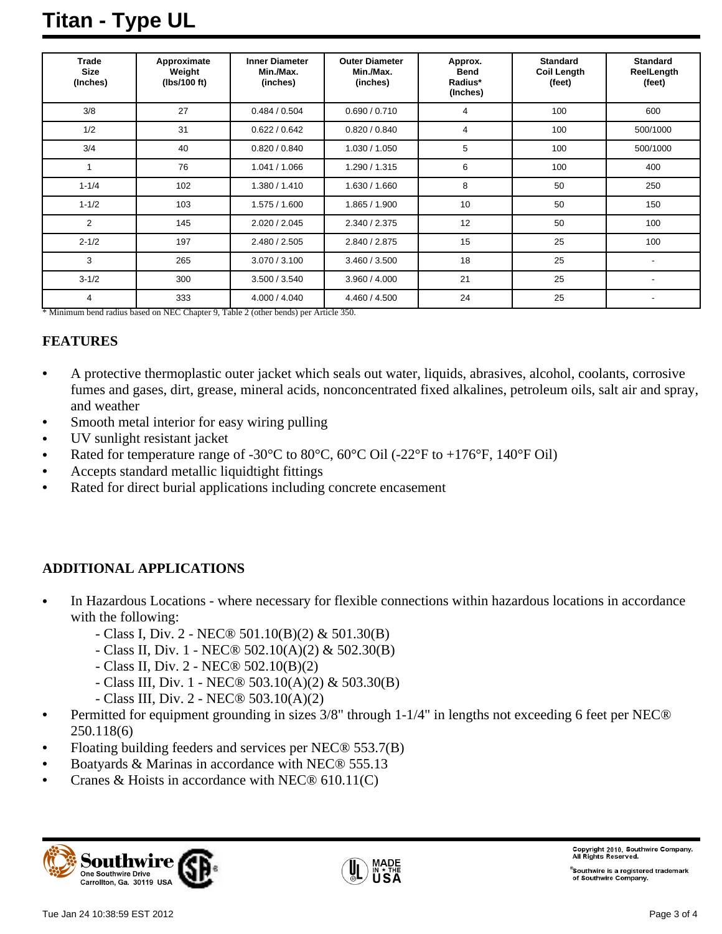## **Titan - Type UL**

| <b>Trade</b><br><b>Size</b><br>(Inches) | Approximate<br>Weight<br>(lbs/100 ft) | <b>Inner Diameter</b><br>Min./Max.<br>(inches) | <b>Outer Diameter</b><br>Min./Max.<br>(inches) | Approx.<br><b>Bend</b><br>Radius*<br>(Inches) | <b>Standard</b><br><b>Coil Length</b><br>(feet) | <b>Standard</b><br>ReelLength<br>(feet) |
|-----------------------------------------|---------------------------------------|------------------------------------------------|------------------------------------------------|-----------------------------------------------|-------------------------------------------------|-----------------------------------------|
| 3/8                                     | 27                                    | 0.484 / 0.504                                  | 0.690 / 0.710                                  | 4                                             | 100                                             | 600                                     |
| 1/2                                     | 31                                    | 0.622 / 0.642                                  | 0.820 / 0.840                                  | 4                                             | 100                                             | 500/1000                                |
| 3/4                                     | 40                                    | 0.820 / 0.840                                  | 1.030 / 1.050                                  | 5                                             | 100                                             | 500/1000                                |
|                                         | 76                                    | 1.041 / 1.066                                  | 1.290 / 1.315                                  | 6                                             | 100                                             | 400                                     |
| $1 - 1/4$                               | 102                                   | 1.380 / 1.410                                  | 1.630 / 1.660                                  | 8                                             | 50                                              | 250                                     |
| $1 - 1/2$                               | 103                                   | 1.575 / 1.600                                  | 1.865 / 1.900                                  | 10                                            | 50                                              | 150                                     |
| 2                                       | 145                                   | 2.020 / 2.045                                  | 2.340 / 2.375                                  | 12                                            | 50                                              | 100                                     |
| $2 - 1/2$                               | 197                                   | 2.480 / 2.505                                  | 2.840 / 2.875                                  | 15                                            | 25                                              | 100                                     |
| 3                                       | 265                                   | 3.070 / 3.100                                  | 3.460 / 3.500                                  | 18                                            | 25                                              |                                         |
| $3 - 1/2$                               | 300                                   | 3.500 / 3.540                                  | 3.960 / 4.000                                  | 21                                            | 25                                              |                                         |
| $\overline{4}$                          | 333                                   | 4.000 / 4.040                                  | 4.460 / 4.500                                  | 24                                            | 25                                              |                                         |

\* Minimum bend radius based on NEC Chapter 9, Table 2 (other bends) per Article 350.

#### **FEATURES**

- A protective thermoplastic outer jacket which seals out water, liquids, abrasives, alcohol, coolants, corrosive fumes and gases, dirt, grease, mineral acids, nonconcentrated fixed alkalines, petroleum oils, salt air and spray, and weather
- Smooth metal interior for easy wiring pulling
- UV sunlight resistant jacket
- Rated for temperature range of -30 $^{\circ}$ C to 80 $^{\circ}$ C, 60 $^{\circ}$ C Oil (-22 $^{\circ}$ F to +176 $^{\circ}$ F, 140 $^{\circ}$ F Oil)
- Accepts standard metallic liquidtight fittings
- Rated for direct burial applications including concrete encasement

### **ADDITIONAL APPLICATIONS**

- In Hazardous Locations where necessary for flexible connections within hazardous locations in accordance with the following:
	- Class I, Div. 2 NEC® 501.10(B)(2) & 501.30(B)
	- Class II, Div. 1 NEC® 502.10(A)(2) & 502.30(B)
	- Class II, Div. 2 NEC® 502.10(B)(2)
	- Class III, Div. 1 NEC® 503.10(A)(2) & 503.30(B)
	- Class III, Div. 2 NEC® 503.10(A)(2)
- Permitted for equipment grounding in sizes 3/8" through 1-1/4" in lengths not exceeding 6 feet per NEC® 250.118(6)
- Floating building feeders and services per NEC® 553.7(B)
- Boatyards & Marinas in accordance with NEC® 555.13
- Cranes & Hoists in accordance with NEC® 610.11(C)





Copyright 2010, Southwire Company.<br>All Rights Reserved.